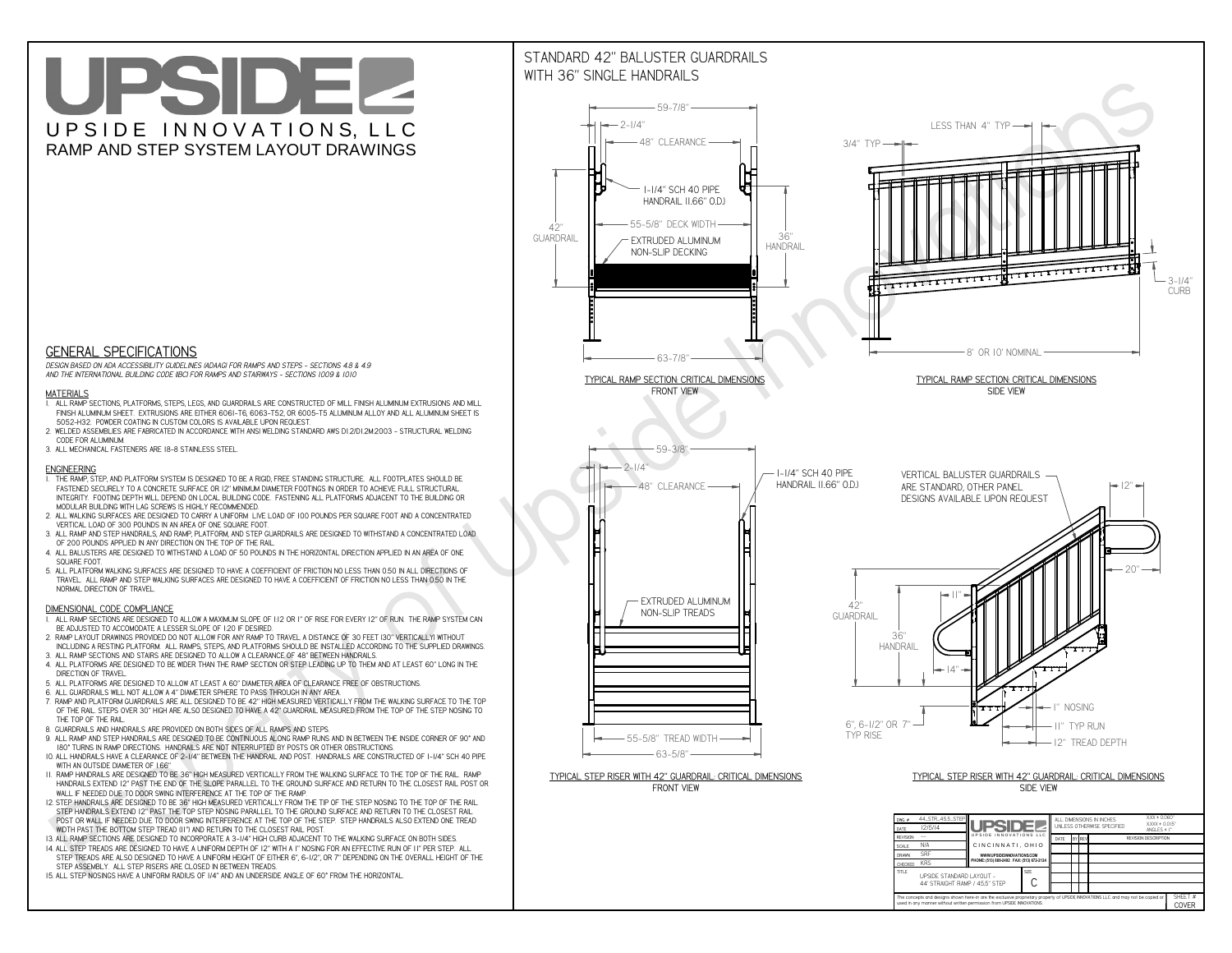**C**The concepts and designs shown here-in are the exclusive proprietary property of UPSIDE INNOVATIONS LLC. and may not be copied o

**I** 

**used in any manner without written permission from UPSIDE INNOVATIONS.**

# UPSIDEL UPSIDE INNOVATIONS, LLC RAMP AND STEP SYSTEM LAYOUT DRAWINGS

SHEET #**COVER**

44' STRAIGHT RAMP / 45.5" STEP



# WITH 36" SINGLE HANDRAILS



 *DESIGN BASED ON ADA ACCESSIBILITY GUIDELINES (ADAAG) FOR RAMPS AND STEPS - SECTIONS 4.8 & 4.9AND THE INTERNATIONAL BUILDING CODE (IBC) FOR RAMPS AND STAIRWAYS - SECTIONS 1009 & 1010*

#### **MATERIALS**

- **1. ALL RAMP SECTIONS, PLATFORMS, STEPS, LEGS, AND GUARDRAILS ARE CONSTRUCTED OF MILL FINISH ALUMINUM EXTRUSIONS AND MILL FINISH ALUMINUM SHEET. EXTRUSIONS ARE EITHER 6061-T6, 6063-T52, OR 6005-T5 ALUMINUM ALLOY AND ALL ALUMINUM SHEET IS 5052-H32. POWDER COATING IN CUSTOM COLORS IS AVAILABLE UPON REQUEST.**
- **2. WELDED ASSEMBLIES ARE FABRICATED IN ACCORDANCE WITH ANSI WELDING STANDARD AWS D1.2/D1.2M:2003 STRUCTURAL WELDING CODE FOR ALUMINUM.**
- **3. ALL MECHANICAL FASTENERS ARE 18-8 STAINLESS STEEL.**

#### **ENGINEERING**

- **1. THE RAMP, STEP, AND PLATFORM SYSTEM IS DESIGNED TO BE A RIGID, FREE STANDING STRUCTURE. ALL FOOTPLATES SHOULD BE FASTENED SECURELY TO A CONCRETE SURFACE OR 12" MINIMUM DIAMETER FOOTINGS IN ORDER TO ACHIEVE FULL STRUCTURAL INTEGRITY. FOOTING DEPTH WILL DEPEND ON LOCAL BUILDING CODE. FASTENING ALL PLATFORMS ADJACENT TO THE BUILDING OR MODULAR BUILDING WITH LAG SCREWS IS HIGHLY RECOMMENDED.**
- **2. ALL WALKING SURFACES ARE DESIGNED TO CARRY A UNIFORM LIVE LOAD OF 100 POUNDS PER SQUARE FOOT AND A CONCENTRATED VERTICAL LOAD OF 300 POUNDS IN AN AREA OF ONE SQUARE FOOT.**
- **3. ALL RAMP AND STEP HANDRAILS, AND RAMP, PLATFORM, AND STEP GUARDRAILS ARE DESIGNED TO WITHSTAND A CONCENTRATED LOAD OF 200 POUNDS APPLIED IN ANY DIRECTION ON THE TOP OF THE RAIL.**
- **4. ALL BALUSTERS ARE DESIGNED TO WITHSTAND A LOAD OF 50 POUNDS IN THE HORIZONTAL DIRECTION APPLIED IN AN AREA OF ONE SQUARE FOOT.**
- **5. ALL PLATFORM WALKING SURFACES ARE DESIGNED TO HAVE A COEFFICIENT OF FRICTION NO LESS THAN 0.50 IN ALL DIRECTIONS OF TRAVEL. ALL RAMP AND STEP WALKING SURFACES ARE DESIGNED TO HAVE A COEFFICIENT OF FRICTION NO LESS THAN 0.50 IN THE NORMAL DIRECTION OF TRAVEL.**

### **DIMENSIONAL CODE COMPLIANCE**

- **1. ALL RAMP SECTIONS ARE DESIGNED TO ALLOW A MAXIMUM SLOPE OF 1:12 OR 1" OF RISE FOR EVERY 12" OF RUN. THE RAMP SYSTEM CAN BE ADJUSTED TO ACCOMODATE A LESSER SLOPE OF 1:20 IF DESIRED.**
- **2. RAMP LAYOUT DRAWINGS PROVIDED DO NOT ALLOW FOR ANY RAMP TO TRAVEL A DISTANCE OF 30 FEET (30" VERTICALLY) WITHOUT INCLUDING A RESTING PLATFORM. ALL RAMPS, STEPS, AND PLATFORMS SHOULD BE INSTALLED ACCORDING TO THE SUPPLIED DRAWINGS.**
- **3. ALL RAMP SECTIONS AND STAIRS ARE DESIGNED TO ALLOW A CLEARANCE OF 48" BETWEEN HANDRAILS.**
- **4. ALL PLATFORMS ARE DESIGNED TO BE WIDER THAN THE RAMP SECTION OR STEP LEADING UP TO THEM AND AT LEAST 60" LONG IN THE DIRECTION OF TRAVEL.**
- **5. ALL PLATFORMS ARE DESIGNED TO ALLOW AT LEAST A 60" DIAMETER AREA OF CLEARANCE FREE OF OBSTRUCTIONS.**
- **6. ALL GUARDRAILS WILL NOT ALLOW A 4" DIAMETER SPHERE TO PASS THROUGH IN ANY AREA.**
- **7. RAMP AND PLATFORM GUARDRAILS ARE ALL DESIGNED TO BE 42" HIGH MEASURED VERTICALLY FROM THE WALKING SURFACE TO THE TOP OF THE RAIL. STEPS OVER 30" HIGH ARE ALSO DESIGNED TO HAVE A 42" GUARDRAIL MEASURED FROM THE TOP OF THE STEP NOSING TO THE TOP OF THE RAIL.**
- **8. GUARDRAILS AND HANDRAILS ARE PROVIDED ON BOTH SIDES OF ALL RAMPS AND STEPS.**
- **9. ALL RAMP AND STEP HANDRAILS ARE DESIGNED TO BE CONTINUOUS ALONG RAMP RUNS AND IN BETWEEN THE INSIDE CORNER OF 90° AND 180° TURNS IN RAMP DIRECTIONS. HANDRAILS ARE NOT INTERRUPTED BY POSTS OR OTHER OBSTRUCTIONS.**
- **10. ALL HANDRAILS HAVE A CLEARANCE OF 2-1/4" BETWEEN THE HANDRAIL AND POST. HANDRAILS ARE CONSTRUCTED OF 1-1/4" SCH 40 PIPE WITH AN OUTSIDE DIAMETER OF 1.66"**
- **11. RAMP HANDRAILS ARE DESIGNED TO BE 36" HIGH MEASURED VERTICALLY FROM THE WALKING SURFACE TO THE TOP OF THE RAIL. RAMP HANDRAILS EXTEND 12" PAST THE END OF THE SLOPE PARALLEL TO THE GROUND SURFACE AND RETURN TO THE CLOSEST RAIL POST OR WALL IF NEEDED DUE TO DOOR SWING INTERFERENCE AT THE TOP OF THE RAMP.**
- **12. STEP HANDRAILS ARE DESIGNED TO BE 36" HIGH MEASURED VERTICALLY FROM THE TIP OF THE STEP NOSING TO THE TOP OF THE RAIL. STEP HANDRAILS EXTEND 12" PAST THE TOP STEP NOSING PARALLEL TO THE GROUND SURFACE AND RETURN TO THE CLOSEST RAIL POST OR WALL IF NEEDED DUE TO DOOR SWING INTERFERENCE AT THE TOP OF THE STEP. STEP HANDRAILS ALSO EXTEND ONE TREAD WIDTH PAST THE BOTTOM STEP TREAD (11") AND RETURN TO THE CLOSEST RAIL POST.**
- **13. ALL RAMP SECTIONS ARE DESIGNED TO INCORPORATE A 3-1/4" HIGH CURB ADJACENT TO THE WALKING SURFACE ON BOTH SIDES.**
- **14. ALL STEP TREADS ARE DESIGNED TO HAVE A UNIFORM DEPTH OF 12" WITH A 1" NOSING FOR AN EFFECTIVE RUN OF 11" PER STEP. ALL**
- **STEP TREADS ARE ALSO DESIGNED TO HAVE A UNIFORM HEIGHT OF EITHER 6", 6-1/2", OR 7" DEPENDING ON THE OVERALL HEIGHT OF THE STEP ASSEMBLY. ALL STEP RISERS ARE CLOSED IN BETWEEN TREADS.**
- **15. ALL STEP NOSINGS HAVE A UNIFORM RADIUS OF 1/4" AND AN UNDERSIDE ANGLE OF 60° FROM THE HORIZONTAL.**